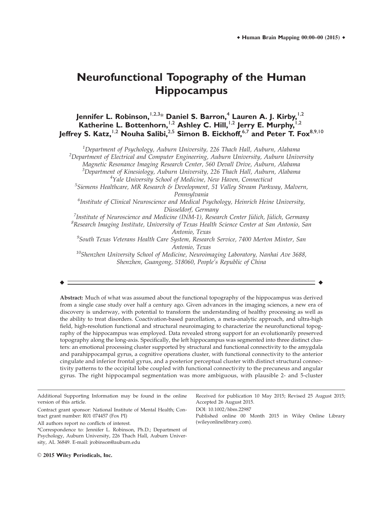# **Neurofunctional Topography of the Human Hippocampus**

**Jennifer L. Robinson, <sup>1,2,3\*</sup> Daniel S. Barron,<sup>4</sup> Lauren A. J. Kirby, <sup>1,2</sup> Katherine L. Bottenhorn,**1,2 **Ashley C. Hill,**1,2 **Jerry E. Murphy,**1,2 **Jeffrey S. Katz,**1,2 **Nouha Salibi,**2,5 **Simon B. Eickhoff,**6,7 **and Peter T. Fox**8,9,10

 $^{\rm 1}$ Department of Psychology, Auburn University, 226 Thach Hall, Auburn, Alabama

 $2$ Department of Electrical and Computer Engineering, Auburn University, Auburn University Magnetic Resonance Imaging Research Center, 560 Devall Drive, Auburn, Alabama  $^3$ Department of Kinesiology, Auburn University, 226 Thach Hall, Auburn, Alabama

<sup>4</sup>Yale University School of Medicine, New Haven, Connecticut

<sup>5</sup>Siemens Healthcare, MR Research & Development, 51 Valley Stream Parkway, Malvern, Pennsylvania

<sup>6</sup>Institute of Clinical Neuroscience and Medical Psychology, Heinrich Heine University, Düsseldorf, Germany<br>Fustitute of Neuroscience and Medicine (INM-1), Resea

 $\frac{1}{2}$ Institute of Neuroscience and Medicine (INM-1), Research Center Jülich, Jülich, Germany<br><sup>8</sup> Research Imaging Institute Huiversitu of Texas Health Science Center at San Antonio, Sai  ${}^{8}$ Research Imaging Institute, University of Texas Health Science Center at San Antonio, San

Antonio, Texas <sup>9</sup>South Texas Veterans Health Care System, Research Service, 7400 Merton Minter, San Antonio, Texas

 $^{10}$ Shenzhen University School of Medicine, Neuroimaging Laboratory, Nanhai Ave 3688, Shenzhen, Guangong, 518060, People's Republic of China

r r

Abstract: Much of what was assumed about the functional topography of the hippocampus was derived from a single case study over half a century ago. Given advances in the imaging sciences, a new era of discovery is underway, with potential to transform the understanding of healthy processing as well as the ability to treat disorders. Coactivation-based parcellation, a meta-analytic approach, and ultra-high field, high-resolution functional and structural neuroimaging to characterize the neurofunctional topography of the hippocampus was employed. Data revealed strong support for an evolutionarily preserved topography along the long-axis. Specifically, the left hippocampus was segmented into three distinct clusters: an emotional processing cluster supported by structural and functional connectivity to the amygdala and parahippocampal gyrus, a cognitive operations cluster, with functional connectivity to the anterior cingulate and inferior frontal gyrus, and a posterior perceptual cluster with distinct structural connectivity patterns to the occipital lobe coupled with functional connectivity to the precuneus and angular gyrus. The right hippocampal segmentation was more ambiguous, with plausible 2- and 5-cluster

Additional Supporting Information may be found in the online version of this article. Contract grant sponsor: National Institute of Mental Health; Contract grant number: R01 074457 (Fox PI) All authors report no conflicts of interest. Received for publication 10 May 2015; Revised 25 August 2015; Accepted 26 August 2015. DOI: 10.1002/hbm.22987 Published online 00 Month 2015 in Wiley Online Library (wileyonlinelibrary.com).

<sup>\*</sup>Correspondence to: Jennifer L. Robinson, Ph.D.; Department of Psychology, Auburn University, 226 Thach Hall, Auburn University, AL 36849. E-mail: jrobinson@auburn.edu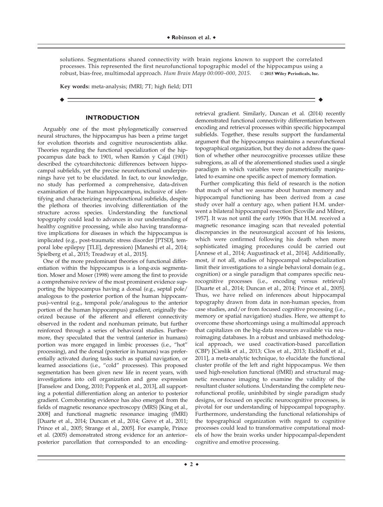solutions. Segmentations shared connectivity with brain regions known to support the correlated processes. This represented the first neurofunctional topographic model of the hippocampus using a robust, bias-free, multimodal approach. Hum Brain Mapp 00:000-000, 2015. © 2015 Wiley Periodicals, Inc.

r r

Key words: meta-analysis; fMRI; 7T; high field; DTI

### **INTRODUCTION**

Arguably one of the most phylogenetically conserved neural structures, the hippocampus has been a prime target for evolution theorists and cognitive neuroscientists alike. Theories regarding the functional specialization of the hippocampus date back to 1901, when Ramón y Cajal (1901) described the cytoarchitectonic differences between hippocampal subfields, yet the precise neurofunctional underpinnings have yet to be elucidated. In fact, to our knowledge, no study has performed a comprehensive, data-driven examination of the human hippocampus, inclusive of identifying and characterizing neurofunctional subfields, despite the plethora of theories involving differentiation of the structure across species. Understanding the functional topography could lead to advances in our understanding of healthy cognitive processing, while also having transformative implications for diseases in which the hippocampus is implicated (e.g., post-traumatic stress disorder [PTSD], temporal lobe epilepsy [TLE], depression) [Maneshi et al., 2014; Spielberg et al., 2015; Treadway et al., 2015].

One of the more predominant theories of functional differentiation within the hippocampus is a long-axis segmentation. Moser and Moser (1998) were among the first to provide a comprehensive review of the most prominent evidence supporting the hippocampus having a dorsal (e.g., septal pole/ analogous to the posterior portion of the human hippocampus)–ventral (e.g., temporal pole/analogous to the anterior portion of the human hippocampus) gradient, originally theorized because of the afferent and efferent connectivity observed in the rodent and nonhuman primate, but further reinforced through a series of behavioral studies. Furthermore, they speculated that the ventral (anterior in humans) portion was more engaged in limbic processes (i.e., "hot" processing), and the dorsal (posterior in humans) was preferentially activated during tasks such as spatial navigation, or learned associations (i.e., "cold" processes). This proposed segmentation has been given new life in recent years, with investigations into cell organization and gene expression [Fanselow and Dong, 2010; Poppenk et al., 2013], all supporting a potential differentiation along an anterior to posterior gradient. Corroborating evidence has also emerged from the fields of magnetic resonance spectroscopy (MRS) [King et al., 2008] and functional magnetic resonance imaging (fMRI) [Duarte et al., 2014; Duncan et al., 2014; Greve et al., 2011; Prince et al., 2005; Strange et al., 2005]. For example, Prince et al. (2005) demonstrated strong evidence for an anterior– posterior parcellation that corresponded to an encodingretrieval gradient. Similarly, Duncan et al. (2014) recently demonstrated functional connectivity differentiation between encoding and retrieval processes within specific hippocampal subfields. Together, these results support the fundamental argument that the hippocampus maintains a neurofunctional topographical organization, but they do not address the question of whether other neurocognitive processes utilize these subregions, as all of the aforementioned studies used a single paradigm in which variables were parametrically manipulated to examine one specific aspect of memory formation.

Further complicating this field of research is the notion that much of what we assume about human memory and hippocampal functioning has been derived from a case study over half a century ago, when patient H.M. underwent a bilateral hippocampal resection [Scoville and Milner, 1957]. It was not until the early 1990s that H.M. received a magnetic resonance imaging scan that revealed potential discrepancies in the neurosurgical account of his lesions, which were confirmed following his death when more sophisticated imaging procedures could be carried out [Annese et al., 2014; Augustinack et al., 2014]. Additionally, most, if not all, studies of hippocampal subspecialization limit their investigations to a single behavioral domain (e.g., cognition) or a single paradigm that compares specific neurocognitive processes (i.e., encoding versus retrieval) [Duarte et al., 2014; Duncan et al., 2014; Prince et al., 2005]. Thus, we have relied on inferences about hippocampal topography drawn from data in non-human species, from case studies, and/or from focused cognitive processing (i.e., memory or spatial navigation) studies. Here, we attempt to overcome these shortcomings using a multimodal approach that capitalizes on the big-data resources available via neuroimaging databases. In a robust and unbiased methodological approach, we used coactivation-based parcellation (CBP) [Cieslik et al., 2013; Clos et al., 2013; Eickhoff et al., 2011], a meta-analytic technique, to elucidate the functional cluster profile of the left and right hippocampus. We then used high-resolution functional (fMRI) and structural magnetic resonance imaging to examine the validity of the resultant cluster solutions. Understanding the complete neurofunctional profile, uninhibited by single paradigm study designs, or focused on specific neurocognitive processes, is pivotal for our understanding of hippocampal topography. Furthermore, understanding the functional relationships of the topographical organization with regard to cognitive processes could lead to transformative computational models of how the brain works under hippocampal-dependent cognitive and emotive processing.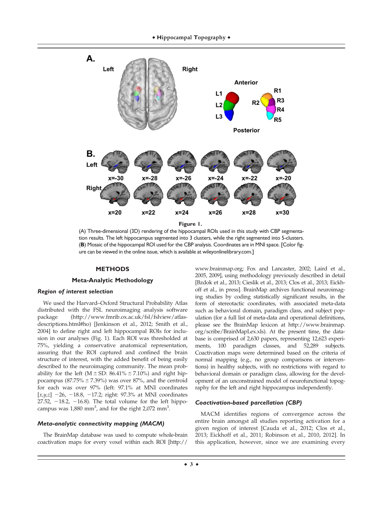

(A) Three-dimensional (3D) rendering of the hippocampal ROIs used in this study with CBP segmentation results. The left hippocampus segmented into 3 clusters, while the right segmented into 5-clusters. (**B**) Mosaic of the hippocampal ROI used for the CBP analysis. Coordinates are in MNI space. [Color figure can be viewed in the online issue, which is available at [wileyonlinelibrary.com](http://wileyonlinelibrary.com).]

### **METHODS**

### **Meta-Analytic Methodology**

## Region of interest selection

We used the Harvard–Oxford Structural Probability Atlas distributed with the FSL neuroimaging analysis software package [\(http://www.fmrib.ox.ac.uk/fsl/fslview/atlas](http://www.fmrib.ox.ac.uk/fsl/fslview/atlas-descriptions.html#ho)[descriptions.html#ho\)](http://www.fmrib.ox.ac.uk/fsl/fslview/atlas-descriptions.html#ho) [Jenkinson et al., 2012; Smith et al., 2004] to define right and left hippocampal ROIs for inclusion in our analyses (Fig. 1). Each ROI was thresholded at 75%, yielding a conservative anatomical representation, assuring that the ROI captured and confined the brain structure of interest, with the added benefit of being easily described to the neuroimaging community. The mean probability for the left (M  $\pm$  SD: 86.41%  $\pm$  7.10%) and right hippocampus ( $87.75\% \pm 7.39\%$ ) was over  $87\%$ , and the centroid for each was over 97% (left: 97.1% at MNI coordinates  $[x,y,z]$  -26, -18.8, -17.2; right: 97.3% at MNI coordinates 27.52,  $-18.2$ ,  $-16.8$ ). The total volume for the left hippocampus was  $1,880$  mm<sup>3</sup>, and for the right  $2,072$  mm<sup>3</sup>.

#### Meta-analytic connectivity mapping (MACM)

The BrainMap database was used to compute whole-brain coactivation maps for every voxel within each ROI [[http://](http://www.brainmap.org)

[www.brainmap.org;](http://www.brainmap.org) Fox and Lancaster, 2002; Laird et al., 2005, 2009], using methodology previously described in detail [Bzdok et al., 2013; Cieslik et al., 2013; Clos et al., 2013; Eickhoff et al., in press]. BrainMap archives functional neuroimaging studies by coding statistically significant results, in the form of stereotactic coordinates, with associated meta-data such as behavioral domain, paradigm class, and subject population (for a full list of meta-data and operational definitions, please see the BrainMap lexicon at [http://www.brainmap.](http://www.brainmap.org/scribe/BrainMapLex.xls) [org/scribe/BrainMapLex.xls\)](http://www.brainmap.org/scribe/BrainMapLex.xls). At the present time, the database is comprised of 2,630 papers, representing 12,623 experiments, 100 paradigm classes, and 52,289 subjects. Coactivation maps were determined based on the criteria of normal mapping (e.g., no group comparisons or interventions) in healthy subjects, with no restrictions with regard to behavioral domain or paradigm class, allowing for the development of an unconstrained model of neurofunctional topography for the left and right hippocampus independently.

### Coactivation-based parcellation (CBP)

MACM identifies regions of convergence across the entire brain amongst all studies reporting activation for a given region of interest [Cauda et al., 2012; Clos et al., 2013; Eickhoff et al., 2011; Robinson et al., 2010, 2012]. In this application, however, since we are examining every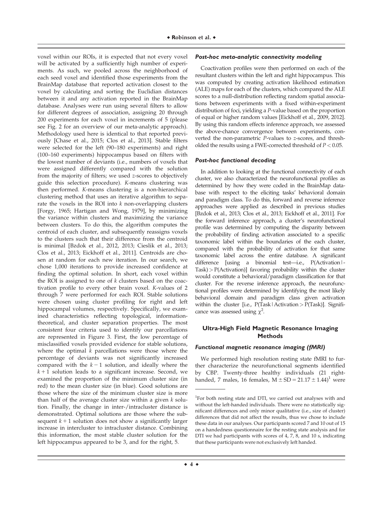voxel within our ROIs, it is expected that not every voxel will be activated by a sufficiently high number of experiments. As such, we pooled across the neighborhood of each seed voxel and identified those experiments from the BrainMap database that reported activation closest to the voxel by calculating and sorting the Euclidian distances between it and any activation reported in the BrainMap database. Analyses were run using several filters to allow for different degrees of association, assigning 20 through 200 experiments for each voxel in increments of 5 (please see Fig. 2 for an overview of our meta-analytic approach). Methodology used here is identical to that reported previously [Chase et al., 2015; Clos et al., 2013]. Stable filters were selected for the left (90–180 experiments) and right (100–160 experiments) hippocampus based on filters with the lowest number of deviants (i.e., numbers of voxels that were assigned differently compared with the solution from the majority of filters; we used z-scores to objectively guide this selection procedure). K-means clustering was then performed. K-means clustering is a non-hierarchical clustering method that uses an iterative algorithm to separate the voxels in the ROI into  $k$  non-overlapping clusters [Forgy, 1965; Hartigan and Wong, 1979], by minimizing the variance within clusters and maximizing the variance between clusters. To do this, the algorithm computes the centroid of each cluster, and subsequently reassigns voxels to the clusters such that their difference from the centroid is minimal [Bzdok et al., 2012, 2013; Cieslik et al., 2013; Clos et al., 2013; Eickhoff et al., 2011]. Centroids are chosen at random for each new iteration. In our search, we chose 1,000 iterations to provide increased confidence at finding the optimal solution. In short, each voxel within the ROI is assigned to one of  $k$  clusters based on the coactivation profile to every other brain voxel. K-values of 2 through 7 were performed for each ROI. Stable solutions were chosen using cluster profiling for right and left hippocampal volumes, respectively. Specifically, we examined characteristics reflecting topological, informationtheoretical, and cluster separation properties. The most consistent four criteria used to identify our parcellations are represented in Figure 3. First, the low percentage of misclassified voxels provided evidence for stable solutions, where the optimal  $k$  parcellations were those where the percentage of deviants was not significantly increased compared with the  $k - 1$  solution, and ideally where the  $k + 1$  solution leads to a significant increase. Second, we examined the proportion of the minimum cluster size (in red) to the mean cluster size (in blue). Good solutions are those where the size of the minimum cluster size is more than half of the average cluster size within a given  $k$  solution. Finally, the change in inter-/intracluster distance is demonstrated. Optimal solutions are those where the subsequent  $k + 1$  solution does not show a significantly larger increase in intercluster to intracluster distance. Combining this information, the most stable cluster solution for the left hippocampus appeared to be 3, and for the right, 5.

# Post-hoc meta-analytic connectivity modeling

Coactivation profiles were then performed on each of the resultant clusters within the left and right hippocampus. This was computed by creating activation likelihood estimation (ALE) maps for each of the clusters, which compared the ALE scores to a null-distribution reflecting random spatial associations between experiments with a fixed within-experiment distribution of foci, yielding a P-value based on the proportion of equal or higher random values [Eickhoff et al., 2009, 2012]. By using this random effects inference approach, we assessed the above-chance convergence between experiments, converted the non-parametric P-values to z-scores, and thresholded the results using a FWE-corrected threshold of  $P < 0.05$ .

### Post-hoc functional decoding

In addition to looking at the functional connectivity of each cluster, we also characterized the neurofunctional profiles as determined by how they were coded in the BrainMap database with respect to the eliciting tasks' behavioral domain and paradigm class. To do this, forward and reverse inference approaches were applied as described in previous studies [Bzdok et al., 2013; Clos et al., 2013; Eickhoff et al., 2011]. For the forward inference approach, a cluster's neurofunctional profile was determined by computing the disparity between the probability of finding activation associated to a specific taxonomic label within the boundaries of the each cluster, compared with the probability of activation for that same taxonomic label across the entire database. A significant difference [using a binomial test—i.e., P(Activation|- Task)> P(Activation)] favoring probability within the cluster would constitute a behavioral/paradigm classification for that cluster. For the reverse inference approach, the neurofunctional profiles were determined by identifying the most likely behavioral domain and paradigm class given activation within the cluster [i.e., P(Task | Activation > P(Task)]. Significance was assessed using  $\chi^2$ .

# **Ultra-High Field Magnetic Resonance Imaging Methods**

### Functional magnetic resonance imaging (fMRI)

We performed high resolution resting state fMRI to further characterize the neurofunctional segments identified by CBP. Twenty-three healthy individuals (21 righthanded, 7 males, 16 females,  $M \pm SD = 21.17 \pm 1.44$ <sup>1</sup> were

<sup>&</sup>lt;sup>1</sup>For both resting state and DTI, we carried out analyses with and without the left-handed individuals. There were no statistically significant differences and only minor qualitative (i.e., size of cluster) differences that did not affect the results, thus we chose to include these data in our analyses. Our participants scored 7 and 10 out of 15 on a handedness questionnaire for the resting state analysis and for DTI we had participants with scores of 4, 7, 8, and 10 s, indicating that these participants were not exclusively left handed.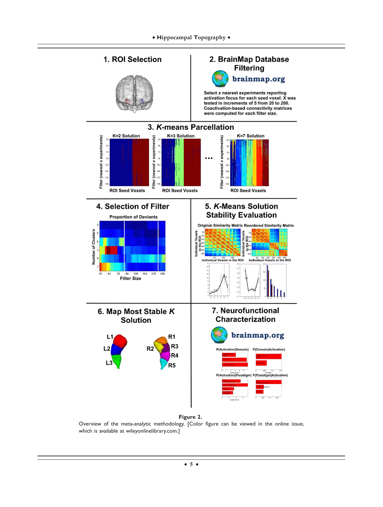

**Figure 2.**

Overview of the meta-analytic methodology. [Color figure can be viewed in the online issue, which is available at [wileyonlinelibrary.com.](http://wileyonlinelibrary.com)]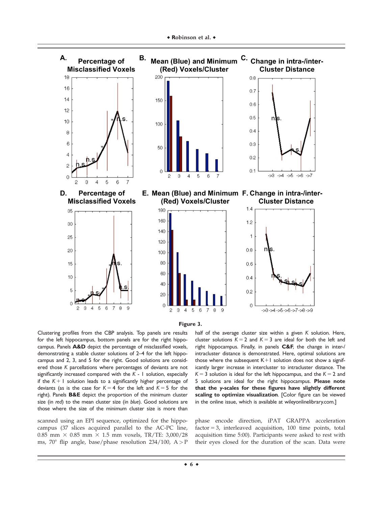



Clustering profiles from the CBP analysis. Top panels are results for the left hippocampus, bottom panels are for the right hippocampus. Panels **A&D** depict the percentage of misclassified voxels, demonstrating a stable cluster solutions of 2–4 for the left hippocampus and 2, 3, and 5 for the right. Good solutions are considered those *K* parcellations where percentages of deviants are not significantly increased compared with the *K* - 1 solution, especially if the  $K + 1$  solution leads to a significantly higher percentage of deviants (as is the case for  $K = 4$  for the left and  $K = 5$  for the right). Panels **B&E** depict the proportion of the minimum cluster size (in *red*) to the mean cluster size (in *blue*). Good solutions are those where the size of the minimum cluster size is more than

scanned using an EPI sequence, optimized for the hippocampus (37 slices acquired parallel to the AC-PC line, 0.85 mm  $\times$  0.85 mm  $\times$  1.5 mm voxels, TR/TE: 3,000/28 ms, 70° flip angle, base/phase resolution 234/100,  $A > P$  half of the average cluster size within a given *K* solution. Here, cluster solutions  $K = 2$  and  $K = 3$  are ideal for both the left and right hippocampus. Finally, in panels **C&F**, the change in inter-/ intracluster distance is demonstrated. Here, optimal solutions are those where the subsequent  $K+1$  solution does not show a significantly larger increase in intercluster to intracluster distance. The  $K = 3$  solution is ideal for the left hippocampus, and the  $K = 2$  and 5 solutions are ideal for the right hippocampus. **Please note that the** y**-scales for these figures have slightly different scaling to optimize visualization**. [Color figure can be viewed in the online issue, which is available at [wileyonlinelibrary.com](http://wileyonlinelibrary.com).]

phase encode direction, iPAT GRAPPA acceleration  $factor = 3$ , interleaved acquisition, 100 time points, total acquisition time 5:00). Participants were asked to rest with their eyes closed for the duration of the scan. Data were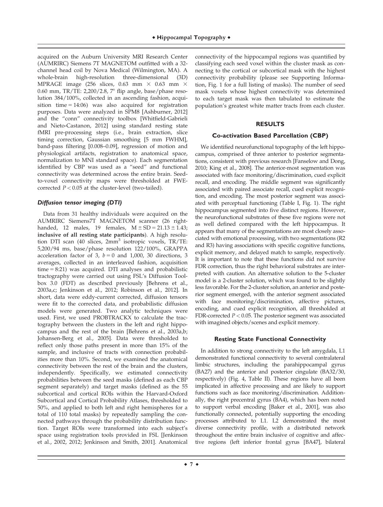acquired on the Auburn University MRI Research Center (AUMRIRC) Siemens 7T MAGNETOM outfitted with a 32 channel head coil by Nova Medical (Wilmington, MA). A whole-brain high-resolution three-dimensional (3D) MPRAGE image (256 slices, 0.63 mm  $\times$  0.63 mm  $\times$ 0.60 mm, TR/TE: 2,200/2.8,  $7^{\circ}$  flip angle, base/phase resolution 384/100%, collected in an ascending fashion, acquisition time  $= 14:06$ ) was also acquired for registration purposes. Data were analyzed in SPM8 [Ashburner, 2012] and the "conn" connectivity toolbox [Whitfield-Gabrieli and Nieto-Castanon, 2012] using standard resting state fMRI pre-processing steps (i.e., brain extraction, slice timing correction, Gaussian smoothing [5 mm FWHM], band-pass filtering [0.008–0.09], regression of motion and physiological artifacts, registration to anatomical space, normalization to MNI standard space). Each segmentation identified by CBP was used as a "seed" and functional connectivity was determined across the entire brain. Seedto-voxel connectivity maps were thresholded at FWEcorrected  $P < 0.05$  at the cluster-level (two-tailed).

# Diffusion tensor imaging (DTI)

Data from 31 healthy individuals were acquired on the AUMRIRC Siemens7T MAGNETOM scanner (26 righthanded, 12 males, 19 females,  $M \pm SD = 21.13 \pm 1.43$ ; inclusive of all resting state participants). A high resolution DTI scan (40 slices,  $2mm<sup>3</sup>$  isotropic voxels, TR/TE: 5,200/94 ms, base/phase resolution 122/100%, GRAPPA acceleration factor of 3,  $b = 0$  and 1,000, 30 directions, 3 averages, collected in an interleaved fashion, acquisition  $time = 8:21$ ) was acquired. DTI analyses and probabilistic tractography were carried out using FSL's Diffusion Toolbox 3.0 (FDT) as described previously [Behrens et al., 2003a,c; Jenkinson et al., 2012; Robinson et al., 2012]. In short, data were eddy-current corrected, diffusion tensors were fit to the corrected data, and probabilistic diffusion models were generated. Two analytic techniques were used. First, we used PROBTRACKX to calculate the tractography between the clusters in the left and right hippocampus and the rest of the brain [Behrens et al., 2003a,b; Johansen-Berg et al., 2005]. Data were thresholded to reflect only those paths present in more than 15% of the sample, and inclusive of tracts with connection probabilities more than 10%. Second, we examined the anatomical connectivity between the rest of the brain and the clusters, independently. Specifically, we estimated connectivity probabilities between the seed masks (defined as each CBP segment separately) and target masks (defined as the 55 subcortical and cortical ROIs within the Harvard-Oxford Subcortical and Cortical Probability Atlases, thresholded to 50%, and applied to both left and right hemispheres for a total of 110 total masks) by repeatedly sampling the connected pathways through the probability distribution function. Target ROIs were transformed into each subject's space using registration tools provided in FSL [Jenkinson et al., 2002, 2012; Jenkinson and Smith, 2001]. Anatomical

connectivity of the hippocampal regions was quantified by classifying each seed voxel within the cluster mask as connecting to the cortical or subcortical mask with the highest connectivity probability (please see Supporting Information, Fig. 1 for a full listing of masks). The number of seed mask voxels whose highest connectivity was determined to each target mask was then tabulated to estimate the population's greatest white matter tracts from each cluster.

### **RESULTS**

### **Co-activation Based Parcellation (CBP)**

We identified neurofunctional topography of the left hippocampus, comprised of three anterior to posterior segmentations, consistent with previous research [Fanselow and Dong, 2010; King et al., 2008]. The anterior-most segmentation was associated with face monitoring/discrimination, cued explicit recall, and encoding. The middle segment was significantly associated with paired associate recall, cued explicit recognition, and encoding. The most posterior segment was associated with perceptual functioning (Table I, Fig. 1). The right hippocampus segmented into five distinct regions. However, the neurofunctional substrates of these five regions were not as well defined compared with the left hippocampus. It appears that many of the segmentations are most closely associated with emotional processing, with two segmentations (R2 and R3) having associations with specific cognitive functions, explicit memory, and delayed match to sample, respectively. It is important to note that these functions did not survive FDR correction, thus the right behavioral substrates are interpreted with caution. An alternative solution to the 5-cluster model is a 2-cluster solution, which was found to be slightly less favorable. For the 2-cluster solution, an anterior and posterior segment emerged, with the anterior segment associated with face monitoring/discrimination, affective pictures, encoding, and cued explicit recognition, all thresholded at FDR-corrected  $P < 0.05$ . The posterior segment was associated with imagined objects/scenes and explicit memory.

### **Resting State Functional Connectivity**

In addition to strong connectivity to the left amygdala, L1 demonstrated functional connectivity to several contralateral limbic structures, including the parahippocampal gyrus (BA27) and the anterior and posterior cingulate (BA32/30, respectively) (Fig. 4, Table II). These regions have all been implicated in affective processing and are likely to support functions such as face monitoring/discrimination. Additionally, the right precentral gyrus (BA4), which has been noted to support verbal encoding [Baker et al., 2001], was also functionally connected, potentially supporting the encoding processes attributed to L1. L2 demonstrated the most diverse connectivity profile, with a distributed network throughout the entire brain inclusive of cognitive and affective regions (left inferior frontal gyrus [BA47], bilateral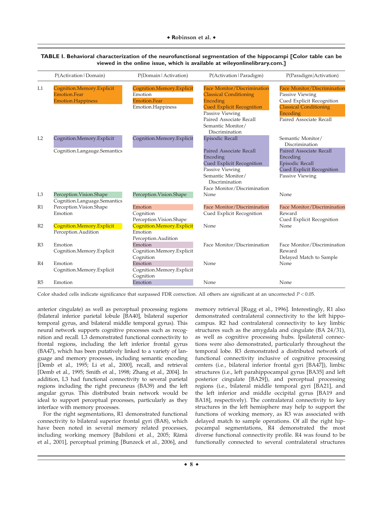|                | P(Activation   Domain)                                                | P(Domain   Activation)                                                           | P(Activation   Paradigm)                                                                                                                                                                                 | P(Paradigm Activation)                                                                                                                                     |
|----------------|-----------------------------------------------------------------------|----------------------------------------------------------------------------------|----------------------------------------------------------------------------------------------------------------------------------------------------------------------------------------------------------|------------------------------------------------------------------------------------------------------------------------------------------------------------|
| L1             | Cognition.Memory.Explicit<br>Emotion Fear<br><b>Emotion.Happiness</b> | Cognition.Memory.Explicit<br>Emotion<br><b>Emotion.Fear</b><br>Emotion.Happiness | <b>Face Monitor/Discrimination</b><br><b>Classical Conditioning</b><br>Encoding<br><b>Cued Explicit Recognition</b><br>Passive Viewing<br>Paired Associate Recall<br>Semantic Monitor/<br>Discrimination | <b>Face Monitor/Discrimination</b><br>Passive Viewing<br>Cued Explicit Recognition<br><b>Classical Conditioning</b><br>Encoding<br>Paired Associate Recall |
| L2             | Cognition.Memory.Explicit                                             | Cognition.Memory.Explicit                                                        | <b>Episodic Recall</b>                                                                                                                                                                                   | Semantic Monitor/<br>Discrimination                                                                                                                        |
|                | Cognition.Langauge.Semantics                                          |                                                                                  | Paired Associate Recall<br>Encoding<br>Cued Explicit Recognition<br>Passive Viewing<br>Semantic Monitor/<br>Discrimination<br>Face Monitor/Discrimination                                                | <b>Paired Associate Recall</b><br>Encoding<br><b>Episodic Recall</b><br><b>Cued Explicit Recognition</b><br>Passive Viewing                                |
| L <sub>3</sub> | Perception.Vision.Shape<br>Cognition.Language.Semantics               | Perception.Vision.Shape                                                          | None                                                                                                                                                                                                     | None                                                                                                                                                       |
| R1             | Perception. Vision. Shape<br>Emotion                                  | Emotion<br>Cognition<br>Perception. Vision. Shape                                | Face Monitor/Discrimination<br>Cued Explicit Recognition                                                                                                                                                 | Face Monitor/Discrimination<br>Reward<br>Cued Explicit Recognition                                                                                         |
| R <sub>2</sub> | Cognition.Memory.Explicit<br>Perception.Audition                      | Cognition.Memory.Explicit<br>Emotion<br>Perception.Audition                      | None                                                                                                                                                                                                     | None                                                                                                                                                       |
| R <sub>3</sub> | Emotion<br>Cognition.Memory.Explicit                                  | Emotion<br>Cognition.Memory.Explicit<br>Cognition                                | Face Monitor/Discrimination                                                                                                                                                                              | Face Monitor/Discrimination<br>Reward<br>Delayed Match to Sample                                                                                           |
| R4             | Emotion<br>Cognition.Memory.Explicit                                  | Emotion<br>Cognition.Memory.Explicit<br>Cognition                                | None                                                                                                                                                                                                     | None                                                                                                                                                       |
| R5             | Emotion                                                               | Emotion                                                                          | None                                                                                                                                                                                                     | None                                                                                                                                                       |

**TABLE I. Behavioral characterization of the neurofunctional segmentation of the hippocampi [Color table can be viewed in the online issue, which is available at [wileyonlinelibrary.com.](http://wileyonlinelibrary.com)]**

Color shaded cells indicate significance that surpassed FDR correction. All others are significant at an uncorrected  $P < 0.05$ .

anterior cingulate) as well as perceptual processing regions (bilateral inferior parietal lobule [BA40], bilateral superior temporal gyrus, and bilateral middle temporal gyrus). This neural network supports cognitive processes such as recognition and recall. L3 demonstrated functional connectivity to frontal regions, including the left inferior frontal gyrus (BA47), which has been putatively linked to a variety of language and memory processes, including semantic encoding [Demb et al., 1995; Li et al., 2000], recall, and retrieval [Demb et al., 1995; Smith et al., 1998; Zhang et al., 2004]. In addition, L3 had functional connectivity to several parietal regions including the right precuneus (BA39) and the left angular gyrus. This distributed brain network would be ideal to support perceptual processes, particularly as they interface with memory processes.

For the right segmentations, R1 demonstrated functional connectivity to bilateral superior frontal gyri (BA8), which have been noted in several memory related processes, including working memory [Babiloni et al., 2005; Rämä et al., 2001], perceptual priming [Bunzeck et al., 2006], and memory retrieval [Rugg et al., 1996]. Interestingly, R1 also demonstrated contralateral connectivity to the left hippocampus. R2 had contralateral connectivity to key limbic structures such as the amygdala and cingulate (BA 24/31), as well as cognitive processing hubs. Ipsilateral connections were also demonstrated, particularly throughout the temporal lobe. R3 demonstrated a distributed network of functional connectivity inclusive of cognitive processing centers (i.e., bilateral inferior frontal gyri [BA47]), limbic structures (i.e., left parahippocampal gyrus [BA35] and left posterior cingulate [BA29]), and perceptual processing regions (i.e., bilateral middle temporal gyri [BA21], and the left inferior and middle occipital gyrus [BA19 and BA18], respectively). The contralateral connectivity to key structures in the left hemisphere may help to support the functions of working memory, as R3 was associated with delayed match to sample operations. Of all the right hippocampal segmentations, R4 demonstrated the most diverse functional connectivity profile. R4 was found to be functionally connected to several contralateral structures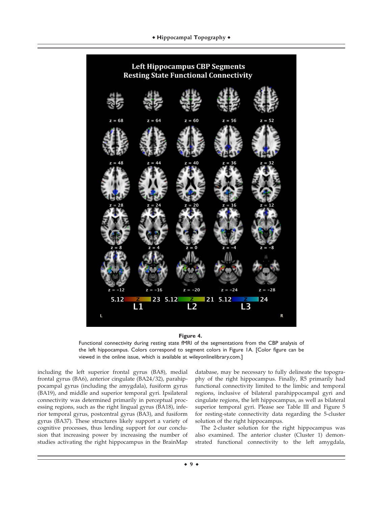



Functional connectivity during resting state fMRI of the segmentations from the CBP analysis of the left hippocampus. Colors correspond to segment colors in Figure 1A. [Color figure can be viewed in the online issue, which is available at [wileyonlinelibrary.com](http://wileyonlinelibrary.com).]

including the left superior frontal gyrus (BA8), medial frontal gyrus (BA6), anterior cingulate (BA24/32), parahippocampal gyrus (including the amygdala), fusiform gyrus (BA19), and middle and superior temporal gyri. Ipsilateral connectivity was determined primarily in perceptual processing regions, such as the right lingual gyrus (BA18), inferior temporal gyrus, postcentral gyrus (BA3), and fusiform gyrus (BA37). These structures likely support a variety of cognitive processes, thus lending support for our conclusion that increasing power by increasing the number of studies activating the right hippocampus in the BrainMap database, may be necessary to fully delineate the topography of the right hippocampus. Finally, R5 primarily had functional connectivity limited to the limbic and temporal regions, inclusive of bilateral parahippocampal gyri and cingulate regions, the left hippocampus, as well as bilateral superior temporal gyri. Please see Table III and Figure 5 for resting-state connectivity data regarding the 5-cluster solution of the right hippocampus.

The 2-cluster solution for the right hippocampus was also examined. The anterior cluster (Cluster 1) demonstrated functional connectivity to the left amygdala,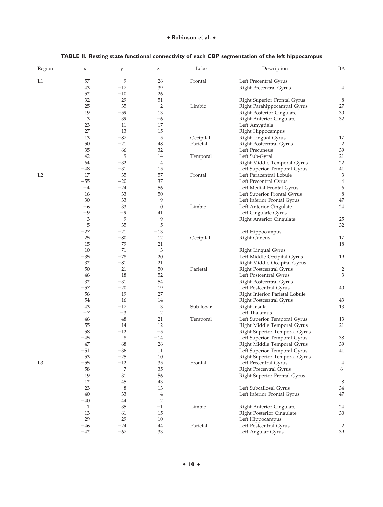| Region         | $\mathsf X$  | $\mathbf{y}$ | $\mathbf{Z}% ^{T}=\mathbf{Z}^{T}\times\mathbf{Z}^{T}$ | Lobe      | Description                    | ΒA             |
|----------------|--------------|--------------|-------------------------------------------------------|-----------|--------------------------------|----------------|
| L1             | $-57$        | $-9$         | 26                                                    | Frontal   | Left Precentral Gyrus          |                |
|                | 43           | $-17$        | 39                                                    |           | Right Precentral Gyrus         | $\overline{4}$ |
|                | 52           | $-10$        | 26                                                    |           |                                |                |
|                | 32           | 29           | 51                                                    |           | Right Superior Frontal Gyrus   | 8              |
|                | 25           | $-35$        | $-2$                                                  | Limbic    | Right Parahippocampal Gyrus    | 27             |
|                | 19           | $-59$        | 13                                                    |           | Right Posterior Cingulate      | 30             |
|                | 3            | 39           | $-6$                                                  |           | Right Anterior Cingulate       | 32             |
|                | $-23$        | $-11$        | $-17$                                                 |           | Left Amygdala                  |                |
|                | 27           | $-13$        | $-15$                                                 |           | Right Hippocampus              |                |
|                | 13           | $-87$        | 5                                                     | Occipital | Right Lingual Gyrus            | 17             |
|                | 50           | $-21$        | 48                                                    | Parietal  | Right Postcentral Gyrus        | 2              |
|                | $-35$        | $-66$        | 32                                                    |           | Left Precuneus                 | 39             |
|                | $-42$        | $-9$         | $-14$                                                 | Temporal  | Left Sub-Gyral                 | 21             |
|                | 64           | $-32$        | 4                                                     |           | Right Middle Temporal Gyrus    | 22             |
|                | $-48$        | $-31$        | 15                                                    |           | Left Superior Temporal Gyrus   | 41             |
| L <sub>2</sub> | $-17$        | $-35$        | 57                                                    | Frontal   | Left Paracentral Lobule        | 3              |
|                | $-55$        | $-20$        | 37                                                    |           | Left Precentral Gyrus          | $\overline{4}$ |
|                | $-4$         | $-24$        | 56                                                    |           | Left Medial Frontal Gyrus      | 6              |
|                | $-16$        | 33           | 50                                                    |           | Left Superior Frontal Gyrus    | 8              |
|                | $-30$        | 33           | -9                                                    |           | Left Inferior Frontal Gyrus    | $47\,$         |
|                | $-6$         | 33           | $\theta$                                              | Limbic    | Left Anterior Cingulate        | 24             |
|                | $-9$         | -9           | 41                                                    |           | Left Cingulate Gyrus           |                |
|                | 3            | 9            | $-9$                                                  |           | Right Anterior Cingulate       | 25             |
|                | 5            | 35           | $-5$                                                  |           |                                | 32             |
|                | $-27$        | $-21$        | $-13$                                                 |           |                                |                |
|                | 25           | $-80$        | 12                                                    |           | Left Hippocampus               | 17             |
|                | 15           | $-79$        | 21                                                    | Occipital | <b>Right Cuneus</b>            | 18             |
|                | 10           | $-71$        | 3                                                     |           |                                |                |
|                | $-35$        | $-78$        | 20                                                    |           | Right Lingual Gyrus            | 19             |
|                |              |              |                                                       |           | Left Middle Occipital Gyrus    |                |
|                | 32           | $-81$        | 21                                                    |           | Right Middle Occipital Gyrus   |                |
|                | 50           | $-21$        | 50                                                    | Parietal  | Right Postcentral Gyrus        | $\overline{2}$ |
|                | $-46$        | $-18$        | 52                                                    |           | Left Postcentral Gyrus         | 3              |
|                | 32           | $-31$        | 54                                                    |           | Right Postcentral Gyrus        |                |
|                | $-57$        | $-20$        | 19                                                    |           | Left Postcentral Gyrus         | 40             |
|                | 56           | $-19$        | 27                                                    |           | Right Inferior Parietal Lobule |                |
|                | 54           | $-16$        | 14                                                    |           | Right Postcentral Gyrus        | 43             |
|                | 43           | $-17$        | 3                                                     | Sub-lobar | Right Insula                   | 13             |
|                | $-7$         | $-3$         | $\overline{c}$                                        |           | Left Thalamus                  |                |
|                | $-46$        | $-48$        | 21                                                    | Temporal  | Left Superior Temporal Gyrus   | 13             |
|                | 55           | $-14$        | $-12$                                                 |           | Right Middle Temporal Gyrus    | 21             |
|                | 58           | $-12$        | $-\mathbf{5}$                                         |           | Right Superior Temporal Gyrus  |                |
|                | $-45$        | 8            | $-14$                                                 |           | Left Superior Temporal Gyrus   | 38             |
|                | 47           | $-68\,$      | 26                                                    |           | Right Middle Temporal Gyrus    | 39             |
|                | $-51$        | $-36$        | 11                                                    |           | Left Superior Temporal Gyrus   | 41             |
|                | 53           | $-25$        | 10                                                    |           | Right Superior Temporal Gyrus  |                |
| L <sub>3</sub> | $-55$        | $-12$        | 35                                                    | Frontal   | Left Precentral Gyrus          | 4              |
|                | 58           | $-7$         | 35                                                    |           | Right Precentral Gyrus         | 6              |
|                | 19           | 31           | 56                                                    |           | Right Superior Frontal Gyrus   |                |
|                | 12           | 45           | 43                                                    |           |                                | 8              |
|                | $-23$        | 8            | $-13$                                                 |           | Left Subcallosal Gyrus         | 34             |
|                | $-40$        | 33           | $-4\,$                                                |           | Left Inferior Frontal Gyrus    | 47             |
|                | $-40$        | 44           | 2                                                     |           |                                |                |
|                | $\mathbf{1}$ | 35           | $-1$                                                  | Limbic    | Right Anterior Cingulate       | 24             |
|                | 13           | $-61$        | 15                                                    |           | Right Posterior Cingulate      | 30             |
|                | $-29$        | $-29$        | $-10$                                                 |           | Left Hippocampus               |                |
|                | $-46$        | $-24$        | 44                                                    | Parietal  | Left Postcentral Gyrus         | $\overline{2}$ |
|                | $-42$        | $-67$        | 33                                                    |           | Left Angular Gyrus             | 39             |

# **TABLE II. Resting state functional connectivity of each CBP segmentation of the left hippocampus**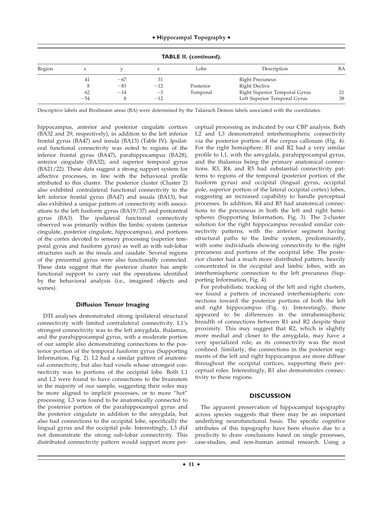|        | <b>TABLE II. (continued).</b> |       |       |           |                               |    |  |  |
|--------|-------------------------------|-------|-------|-----------|-------------------------------|----|--|--|
| Region | $\lambda$                     |       |       | Lobe      | Description                   | BA |  |  |
|        | 41                            | $-67$ | 31    |           | Right Precuneus               |    |  |  |
|        | 8                             | $-83$ | $-12$ | Posterior | <b>Right Declive</b>          |    |  |  |
|        | 62                            | $-14$ | $-3$  | Temporal  | Right Superior Temporal Gyrus | 21 |  |  |
|        | $-54$                         |       | $-12$ |           | Left Superior Temporal Gyrus  | 38 |  |  |

Descriptive labels and Brodmann areas (BA) were determined by the Talairach Demon labels associated with the coordinates.

hippocampus, anterior and posterior cingulate cortices (BA32 and 29, respectively), in addition to the left inferior frontal gyrus (BA47) and insula (BA13) (Table IV). Ipsilateral functional connectivity was noted to regions of the inferior frontal gyrus (BA47), parahippocampus (BA28), anterior cingulate (BA32), and superior temporal gyrus (BA21/22). These data suggest a strong support system for affective processes, in line with the behavioral profile attributed to this cluster. The posterior cluster (Cluster 2) also exhibited contralateral functional connectivity to the left inferior frontal gyrus (BA47) and insula (BA13), but also exhibited a unique pattern of connectivity with associations to the left fusiform gyrus (BA19/37) and postcentral gyrus (BA3). The ipsilateral functional connectivity observed was primarily within the limbic system (anterior cingulate, posterior cingulate, hippocampus), and portions of the cortex devoted to sensory processing (superior temporal gyrus and fusiform gyrus) as well as with sub-lobar structures such as the insula and caudate. Several regions of the precentral gyrus were also functionally connected. These data suggest that the posterior cluster has ample functional support to carry out the operations identified by the behavioral analysis (i.e., imagined objects and scenes).

### **Diffusion Tensor Imaging**

DTI analyses demonstrated strong ipsilateral structural connectivity with limited contralateral connectivity. L1's strongest connectivity was to the left amygdala, thalamus, and the parahippocampal gyrus, with a moderate portion of our sample also demonstrating connections to the posterior portion of the temporal fusiform gyrus (Supporting Information, Fig. 2). L2 had a similar pattern of anatomical connectivity, but also had voxels whose strongest connectivity was to portions of the occipital lobe. Both L1 and L2 were found to have connections to the brainstem in the majority of our sample, suggesting their roles may be more aligned to implicit processes, or to more "hot" processing. L3 was found to be anatomically connected to the posterior portion of the parahippocampal gyrus and the posterior cingulate in addition to the amygdala, but also had connections to the occipital lobe, specifically the lingual gyrus and the occipital pole. Interestingly, L3 did not demonstrate the strong sub-lobar connectivity. This distributed connectivity pattern would support more perceptual processing as indicated by our CBP analysis. Both L2 and L3 demonstrated interhemispheric connectivity via the posterior portion of the corpus callosum (Fig. 4). For the right hemisphere, R1 and R2 had a very similar profile to L1, with the amygdala, parahippocampal gyrus, and the thalamus being the primary anatomical connections. R3, R4, and R5 had substantial connectivity patterns to regions of the temporal (posterior portion of the fusiform gyrus) and occipital (lingual gyrus, occipital pole, superior portion of the lateral occipital cortex) lobes, suggesting an increased capability to handle perceptual processes. In addition, R4 and R5 had anatomical connections to the precuneus in both the left and right hemispheres (Supporting Information, Fig. 3). The 2-cluster solution for the right hippocampus revealed similar connectivity patterns, with the anterior segment having structural paths to the limbic system, predominantly, with some individuals showing connectivity to the right precuneus and portions of the occipital lobe. The posterior cluster had a much more distributed pattern, heavily concentrated in the occipital and limbic lobes, with an interhemispheric connection to the left precuneus (Supporting Information, Fig. 4).

For probabilistic tracking of the left and right clusters, we found a pattern of increased interhemispheric connections toward the posterior portions of both the left and right hippocampus (Fig. 6). Interestingly, there appeared to be differences in the intrahemispheric breadth of connections between R1 and R2 despite their proximity. This may suggest that R2, which is slightly more medial and closer to the amygdala, may have a very specialized role, as its connectivity was the most confined. Similarly, the connections in the posterior segments of the left and right hippocampus are more diffuse throughout the occipital cortices, supporting their perceptual roles. Interestingly, R1 also demonstrates connectivity to these regions.

### **DISCUSSION**

The apparent preservation of hippocampal topography across species suggests that there may be an important underlying neurofunctional basis. The specific cognitive attributes of this topography have been elusive due to a proclivity to draw conclusions based on single processes, case-studies, and non-human animal research. Using a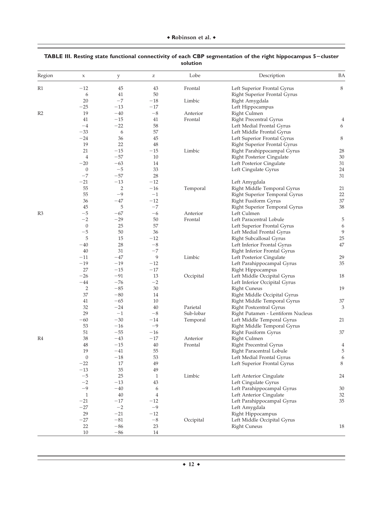| Region         | $\mathsf X$      | y              | $\mathbf{Z}% ^{T}=\mathbf{Z}^{T}\times\mathbf{Z}^{T}$ | Lobe      | Description                                     | BA             |
|----------------|------------------|----------------|-------------------------------------------------------|-----------|-------------------------------------------------|----------------|
| R1             | $-12$            | 45             | 43                                                    | Frontal   | Left Superior Frontal Gyrus                     | 8              |
|                | 6                | 41             | 50                                                    |           | Right Superior Frontal Gyrus                    |                |
|                | 20               | $-7$           | $-18$                                                 | Limbic    | Right Amygdala                                  |                |
|                | $-25$            | $-13$          | $-17$                                                 |           | Left Hippocampus                                |                |
| R <sub>2</sub> | 19               | $-40$          | $-8$                                                  | Anterior  | Right Culmen                                    |                |
|                | 41               | $-15$          | 41                                                    | Frontal   | Right Precentral Gyrus                          | 4              |
|                | $-4$             | $-22$          | 58                                                    |           | Left Medial Frontal Gyrus                       | 6              |
|                | $-33$            | 6              | 57                                                    |           | Left Middle Frontal Gyrus                       |                |
|                | $-24$            | 36             | 45                                                    |           | Left Superior Frontal Gyrus                     | 8              |
|                | 19               | 22             | $48\,$                                                |           | Right Superior Frontal Gyrus                    |                |
|                | 21               | $-15$          | $-15$                                                 | Limbic    | Right Parahippocampal Gyrus                     | 28             |
|                | $\overline{4}$   | $-57$          | 10                                                    |           | Right Posterior Cingulate                       | 30             |
|                | $-20$            | $-63$          | 14                                                    |           | Left Posterior Cingulate                        | 31             |
|                | $\boldsymbol{0}$ | $-5$           | 33                                                    |           | Left Cingulate Gyrus                            | 24             |
|                | $-7$             | $-57$          | 28                                                    |           |                                                 | 31             |
|                | $-21$            | $-13$          | $-12$                                                 |           | Left Amygdala                                   |                |
|                | 55               | $\overline{2}$ | $-16$                                                 | Temporal  | Right Middle Temporal Gyrus                     | 21             |
|                | 55               | $-9$           | $-1$                                                  |           | Right Superior Temporal Gyrus                   | 22             |
|                | 36               | $-47$          | $-12$                                                 |           | Right Fusiform Gyrus                            | 37             |
|                | 45               | 5              | $-7$                                                  |           | Right Superior Temporal Gyrus                   | 38             |
| R3             | $-5$             | $-67$          | $-6$                                                  | Anterior  | Left Culmen                                     |                |
|                | $-2$             | $-29$          | 50                                                    | Frontal   | Left Paracentral Lobule                         | 5              |
|                | $\boldsymbol{0}$ | 25             | 57                                                    |           | Left Superior Frontal Gyrus                     | 6              |
|                | $-5\,$           | 50             | 36                                                    |           | Left Medial Frontal Gyrus                       | 9              |
|                | 5                | 15             | $-12$                                                 |           | Right Subcallosal Gyrus                         | 25             |
|                | $-40$            | 28             | $-8\,$                                                |           | Left Inferior Frontal Gyrus                     | $47\,$         |
|                | 40               | 31             | $-7$                                                  |           | Right Inferior Frontal Gyrus                    |                |
|                | $^{-11}$         | $-47$          | 9                                                     | Limbic    | Left Posterior Cingulate                        | 29             |
|                | $-19$            | $-19$          | $-12$                                                 |           |                                                 | 35             |
|                | 27               | $-15$          | $-17$                                                 |           | Left Parahippocampal Gyrus<br>Right Hippocampus |                |
|                | $-26$            | $-91$          | 13                                                    |           |                                                 |                |
|                | $-44$            | $-76$          | $-2$                                                  | Occipital | Left Middle Occipital Gyrus                     | 18             |
|                | $\overline{2}$   | $-85$          | 30                                                    |           | Left Inferior Occipital Gyrus                   | 19             |
|                |                  |                |                                                       |           | <b>Right Cuneus</b>                             |                |
|                | 37               | $-80$          | 14                                                    |           | Right Middle Occipital Gyrus                    |                |
|                | 41               | $-65$          | 10                                                    |           | Right Middle Temporal Gyrus                     | 37             |
|                | 32               | $-24$          | 40                                                    | Parietal  | Right Postcentral Gyrus                         | 3              |
|                | 29               | $-1$           | $-8\,$                                                | Sub-lobar | Right Putamen - Lentiform Nucleus               |                |
|                | $-60$            | $-30$          | $-14$                                                 | Temporal  | Left Middle Temporal Gyrus                      | 21             |
|                | 53               | $-16$          | $-9$                                                  |           | Right Middle Temporal Gyrus                     |                |
|                | 51               | $-55$          | $-16$                                                 |           | Right Fusiform Gyrus                            | 37             |
| R4             | 38               | $-43$          | $-17$                                                 | Anterior  | Right Culmen                                    |                |
|                | 48               | $-15$          | 40                                                    | Frontal   | Right Precentral Gyrus                          | $\overline{4}$ |
|                | 19               | $^{-41}$       | 55                                                    |           | Right Paracentral Lobule                        | 5              |
|                | $\boldsymbol{0}$ | $-18$          | 53                                                    |           | Left Medial Frontal Gyrus                       | 6              |
|                | $-22$            | $17\,$         | 49                                                    |           | Left Superior Frontal Gyrus                     | $\,8\,$        |
|                | $-13$            | 35             | 49                                                    |           |                                                 |                |
|                | $-5\,$           | 25             | $\mathbf{1}$                                          | Limbic    | Left Anterior Cingulate                         | 24             |
|                | $-2$             | $-13$          | 43                                                    |           | Left Cingulate Gyrus                            |                |
|                | $-9$             | $-40$          | 6                                                     |           | Left Parahippocampal Gyrus                      | 30             |
|                | $\mathbf{1}$     | $40\,$         | $\overline{4}$                                        |           | Left Anterior Cingulate                         | 32             |
|                | $-21$            | $-17$          | $-12$                                                 |           | Left Parahippocampal Gyrus                      | 35             |
|                | $-27$            | $-2$           | $-9$                                                  |           | Left Amygdala                                   |                |
|                | 29               | $-21$          | $-12$                                                 |           | Right Hippocampus                               |                |
|                | $-27$            | $-81$          | $-8\,$                                                | Occipital | Left Middle Occipital Gyrus                     |                |
|                | 22               | $-86$          | 23                                                    |           | <b>Right Cuneus</b>                             | 18             |
|                |                  |                |                                                       |           |                                                 |                |

# **TABLE III. Resting state functional connectivity of each CBP segmentation of the right hippocampus 5**2**cluster solution**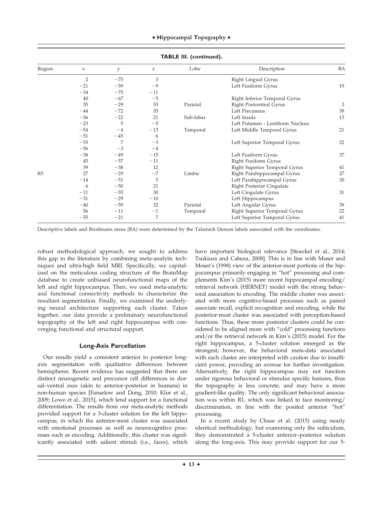| Region | $\boldsymbol{\chi}$ | y     | $\mathbf{Z}% ^{T}=\mathbf{Z}^{T}\times\mathbf{Z}^{T}$ | Lobe      | Description                      | BA |
|--------|---------------------|-------|-------------------------------------------------------|-----------|----------------------------------|----|
|        | $\overline{2}$      | $-75$ | 3                                                     |           | Right Lingual Gyrus              |    |
|        | $-21$               | $-59$ | $-9$                                                  |           | Left Fusiform Gyrus              | 19 |
|        | $-34$               | $-75$ | $-11$                                                 |           |                                  |    |
|        | 40                  | $-67$ | $-5$                                                  |           | Right Inferior Temporal Gyrus    |    |
|        | 35                  | $-29$ | 53                                                    | Parietal  | <b>Right Postcentral Gyrus</b>   | 3  |
|        | $-44$               | $-72$ | 35                                                    |           | Left Precuneus                   | 39 |
|        | $-36$               | $-22$ | 21                                                    | Sub-lobar | Left Insula                      | 13 |
|        | $-23$               | 5     | $-5$                                                  |           | Left Putamen - Lentiform Nucleus |    |
|        | $-54$               | $-4$  | $-13$                                                 | Temporal  | Left Middle Temporal Gyrus       | 21 |
|        | $-51$               | $-45$ | 6                                                     |           |                                  |    |
|        | $-53$               | 7     | $-3$                                                  |           | Left Superior Temporal Gyrus     | 22 |
|        | $-56$               | $-3$  | $-4$                                                  |           |                                  |    |
|        | $-38$               | $-49$ | $-15$                                                 |           | Left Fusiform Gyrus              | 37 |
|        | 45                  | $-57$ | $-11$                                                 |           | Right Fusiform Gyrus             |    |
|        | 39                  | $-38$ | 12                                                    |           | Right Superior Temporal Gyrus    | 41 |
| R5     | 27                  | $-29$ | $-7$                                                  | Limbic    | Right Parahippocampal Gyrus      | 27 |
|        | $-14$               | $-51$ | 5                                                     |           | Left Parahippocampal Gyrus       | 30 |
|        | 6                   | $-50$ | 21                                                    |           | Right Posterior Cingulate        |    |
|        | $-11$               | $-55$ | 30                                                    |           | Left Cingulate Gyrus             | 31 |
|        | $-31$               | $-29$ | $-10$                                                 |           | Left Hippocampus                 |    |
|        | $-40$               | $-59$ | 32                                                    | Parietal  | Left Angular Gyrus               | 39 |
|        | 56                  | $-11$ | $-1$                                                  | Temporal  | Right Superior Temporal Gyrus    | 22 |
|        | $-55$               | $-21$ | 7                                                     |           | Left Superior Temporal Gyrus     | 41 |
|        |                     |       |                                                       |           |                                  |    |

**TABLE III. (continued).**

Descriptive labels and Brodmann areas (BA) were determined by the Talairach Demon labels associated with the coordinates.

robust methodological approach, we sought to address this gap in the literature by combining meta-analytic techniques and ultra-high field MRI. Specifically, we capitalized on the meticulous coding structure of the BrainMap database to create unbiased neurofunctional maps of the left and right hippocampus. Then, we used meta-analytic and functional connectivity methods to characterize the resultant segmentation. Finally, we examined the underlying neural architecture supporting each cluster. Taken together, our data provide a preliminary neurofunctional topography of the left and right hippocampus with converging functional and structural support.

# **Long-Axis Parcellation**

Our results yield a consistent anterior to posterior longaxis segmentation with qualitative differences between hemispheres. Recent evidence has suggested that there are distinct neurogenetic and precursor cell differences in dorsal–ventral axes (akin to anterior–posterior in humans) in non-human species [Fanselow and Dong, 2010; Klur et al., 2009; Lowe et al., 2015], which lend support for a functional differentiation. The results from our meta-analytic methods provided support for a 3-cluster solution for the left hippocampus, in which the anterior-most cluster was associated with emotional processes as well as neurocognitive processes such as encoding. Additionally, this cluster was significantly associated with salient stimuli (i.e., faces), which

have important biological relevance [Stoeckel et al., 2014; Tsukiura and Cabeza, 2008]. This is in line with Moser and Moser's (1998) view of the anterior-most portions of the hippocampus primarily engaging in "hot" processing and complements Kim's (2015) more recent hippocampal encoding/ retrieval network (HERNET) model with the strong behavioral association to encoding. The middle cluster was associated with more cognitive-based processes such as paired associate recall, explicit recognition and encoding, while the posterior-most cluster was associated with perception-based functions. Thus, these more posterior clusters could be considered to be aligned more with "cold" processing functions and/or the retrieval network in Kim's (2015) model. For the right hippocampus, a 5-cluster solution emerged as the strongest; however, the behavioral meta-data associated with each cluster are interpreted with caution due to insufficient power, providing an avenue for further investigation. Alternatively, the right hippocampus may not function under rigorous behavioral or stimulus specific features, thus the topography is less concrete, and may have a more gradient-like quality. The only significant behavioral association was within R1, which was linked to face monitoring/ discrimination, in line with the posited anterior "hot" processing.

In a recent study by Chase et al. (2015) using nearly identical methodology, but examining only the subiculum, they demonstrated a 5-cluster anterior–posterior solution along the long-axis. This may provide support for our 5-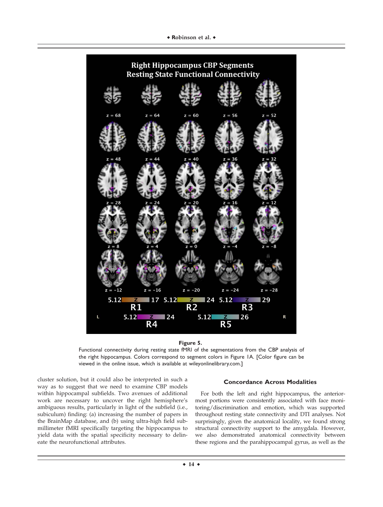### \* Robinson et al. \*



**Figure 5.**

Functional connectivity during resting state fMRI of the segmentations from the CBP analysis of the right hippocampus. Colors correspond to segment colors in Figure 1A. [Color figure can be viewed in the online issue, which is available at [wileyonlinelibrary.com](http://wileyonlinelibrary.com).]

cluster solution, but it could also be interpreted in such a way as to suggest that we need to examine CBP models within hippocampal subfields. Two avenues of additional work are necessary to uncover the right hemisphere's ambiguous results, particularly in light of the subfield (i.e., subiculum) finding: (a) increasing the number of papers in the BrainMap database, and (b) using ultra-high field submillimeter fMRI specifically targeting the hippocampus to yield data with the spatial specificity necessary to delineate the neurofunctional attributes.

### **Concordance Across Modalities**

For both the left and right hippocampus, the anteriormost portions were consistently associated with face monitoring/discrimination and emotion, which was supported throughout resting state connectivity and DTI analyses. Not surprisingly, given the anatomical locality, we found strong structural connectivity support to the amygdala. However, we also demonstrated anatomical connectivity between these regions and the parahippocampal gyrus, as well as the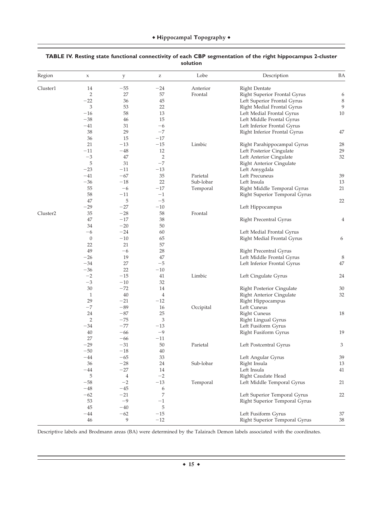| Region               | $\mathsf X$      | $\mathbf{y}$   | $\mathbf{Z}% ^{T}=\mathbf{Z}^{T}\times\mathbf{Z}^{T}$ | Lobe      | Description                     | BA      |
|----------------------|------------------|----------------|-------------------------------------------------------|-----------|---------------------------------|---------|
| Cluster1             | 14               | $-55$          | $-24$                                                 | Anterior  | <b>Right Dentate</b>            |         |
|                      | 2                | 27             | 57                                                    | Frontal   | Right Superior Frontal Gyrus    | 6       |
|                      | $-22$            | 36             | 45                                                    |           | Left Superior Frontal Gyrus     | $\,8\,$ |
|                      | 3                | 53             | 22                                                    |           | Right Medial Frontal Gyrus      | 9       |
|                      | $-16$            | 58             | 13                                                    |           | Left Medial Frontal Gyrus       | 10      |
|                      | $-38$            | 46             | 15                                                    |           | Left Middle Frontal Gyrus       |         |
|                      | $-41$            | 31             | $-6$                                                  |           | Left Inferior Frontal Gyrus     |         |
|                      | 38               | 29             | $-7$                                                  |           | Right Inferior Frontal Gyrus    | 47      |
|                      | 36               | 15             | $-17$                                                 |           |                                 |         |
|                      | 21               | $-13$          | $-15$                                                 | Limbic    | Right Parahippocampal Gyrus     | 28      |
|                      | $-11$            | $-48$          | 12                                                    |           | Left Posterior Cingulate        | 29      |
|                      | $-3$             | 47             | 2                                                     |           | Left Anterior Cingulate         | 32      |
|                      | 5                | 31             | $-7$                                                  |           | Right Anterior Cingulate        |         |
|                      | $-23$            | $-11$          | $-13$                                                 |           |                                 |         |
|                      | $-41$            | $-67$          | 35                                                    | Parietal  | Left Amygdala<br>Left Precuneus | 39      |
|                      | $-36$            | $-18$          | 22                                                    | Sub-lobar |                                 |         |
|                      |                  |                |                                                       |           | Left Insula                     | 13      |
|                      | 55               | $-6$           | $-17$                                                 | Temporal  | Right Middle Temporal Gyrus     | 21      |
|                      | 58               | $-11$          | $^{-1}$                                               |           | Right Superior Temporal Gyrus   |         |
|                      | 47               | 5              | $-\mathbf{5}$                                         |           |                                 | 22      |
|                      | $-29$            | $-27$          | $-10$                                                 |           | Left Hippocampus                |         |
| Cluster <sub>2</sub> | 35               | $-28$          | 58                                                    | Frontal   |                                 |         |
|                      | 47               | $-17$          | 38                                                    |           | <b>Right Precentral Gyrus</b>   | 4       |
|                      | 34               | $-20$          | 50                                                    |           |                                 |         |
|                      | $-6$             | $-24$          | 60                                                    |           | Left Medial Frontal Gyrus       |         |
|                      | $\boldsymbol{0}$ | $-10\,$        | 65                                                    |           | Right Medial Frontal Gyrus      | 6       |
|                      | 22               | 21             | 57                                                    |           |                                 |         |
|                      | 49               | -6             | 28                                                    |           | Right Precentral Gyrus          |         |
|                      | $-26$            | 19             | 47                                                    |           | Left Middle Frontal Gyrus       | 8       |
|                      | $-34$            | 27             | $-5$                                                  |           | Left Inferior Frontal Gyrus     | 47      |
|                      | $-36$            | 22             | $-10$                                                 |           |                                 |         |
|                      | $-2$             | $-15$          | 41                                                    | Limbic    | Left Cingulate Gyrus            | 24      |
|                      | $-3$             | $-10$          | 32                                                    |           |                                 |         |
|                      | 30               | $-72$          | 14                                                    |           | Right Posterior Cingulate       | 30      |
|                      | $\mathbf{1}$     | $40\,$         | $\overline{4}$                                        |           | Right Anterior Cingulate        | 32      |
|                      | 29               | $-21$          | $-12$                                                 |           | Right Hippocampus               |         |
|                      | $-7$             | $-89$          | 16                                                    | Occipital | Left Cuneus                     |         |
|                      | 24               | $-87$          | 25                                                    |           | <b>Right Cuneus</b>             | 18      |
|                      | $\overline{2}$   | $-75$          | 3                                                     |           | Right Lingual Gyrus             |         |
|                      | $-34$            | $-77$          | $-13$                                                 |           | Left Fusiform Gyrus             |         |
|                      | 40               | $-66$          | $-9$                                                  |           | Right Fusiform Gyrus            | 19      |
|                      | 27               | $-66$          | $-11$                                                 |           |                                 |         |
|                      | $-29$            | $-31$          | 50                                                    | Parietal  | Left Postcentral Gyrus          | 3       |
|                      | $-50$            | $-18$          | $40\,$                                                |           |                                 |         |
|                      | $-44$            | $-65$          | 33                                                    |           | Left Angular Gyrus              | 39      |
|                      | 36               | $-28$          | 24                                                    | Sub-lobar |                                 | 13      |
|                      |                  |                |                                                       |           | Right Insula<br>Left Insula     |         |
|                      | $-44$            | $-27$          | $14\,$                                                |           |                                 | 41      |
|                      | 5                | $\overline{4}$ | $-2$                                                  |           | Right Caudate Head              |         |
|                      | $-58\,$          | $-2$           | $-13$                                                 | Temporal  | Left Middle Temporal Gyrus      | 21      |
|                      | $-48$            | $-45$          | 6                                                     |           |                                 |         |
|                      | $-62$            | $-21$          | 7                                                     |           | Left Superior Temporal Gyrus    | 22      |
|                      | 53               | $-9$           | $^{-1}$                                               |           | Right Superior Temporal Gyrus   |         |
|                      | 45               | $-40\,$        | 5                                                     |           |                                 |         |
|                      | $-44$            | $-62$          | $-15$                                                 |           | Left Fusiform Gyrus             | 37      |
|                      | 46               | 9              | $-12$                                                 |           | Right Superior Temporal Gyrus   | $38\,$  |

# **TABLE IV. Resting state functional connectivity of each CBP segmentation of the right hippocampus 2-cluster solution**

Descriptive labels and Brodmann areas (BA) were determined by the Talairach Demon labels associated with the coordinates.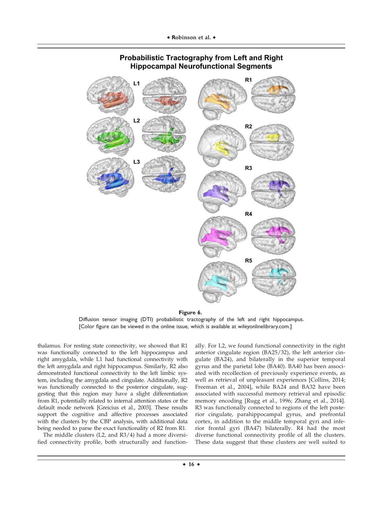

# **Probabilistic Tractography from Left and Right Hippocampal Neurofunctional Segments**

**Figure 6.** Diffusion tensor imaging (DTI) probabilistic tractography of the left and right hippocampus. [Color figure can be viewed in the online issue, which is available at [wileyonlinelibrary.com.](http://wileyonlinelibrary.com)]

thalamus. For resting state connectivity, we showed that R1 was functionally connected to the left hippocampus and right amygdala, while L1 had functional connectivity with the left amygdala and right hippocampus. Similarly, R2 also demonstrated functional connectivity to the left limbic system, including the amygdala and cingulate. Additionally, R2 was functionally connected to the posterior cingulate, suggesting that this region may have a slight differentiation from R1, potentially related to internal attention states or the default mode network [Greicius et al., 2003]. These results support the cognitive and affective processes associated with the clusters by the CBP analysis, with additional data being needed to parse the exact functionality of R2 from R1.

The middle clusters (L2, and R3/4) had a more diversified connectivity profile, both structurally and functionally. For L2, we found functional connectivity in the right anterior cingulate region (BA25/32), the left anterior cingulate (BA24), and bilaterally in the superior temporal gyrus and the parietal lobe (BA40). BA40 has been associated with recollection of previously experience events, as well as retrieval of unpleasant experiences [Collins, 2014; Freeman et al., 2004], while BA24 and BA32 have been associated with successful memory retrieval and episodic memory encoding [Rugg et al., 1996; Zhang et al., 2014]. R3 was functionally connected to regions of the left posterior cingulate, parahippocampal gyrus, and prefrontal cortex, in addition to the middle temporal gyri and inferior frontal gyri (BA47) bilaterally. R4 had the most diverse functional connectivity profile of all the clusters. These data suggest that these clusters are well suited to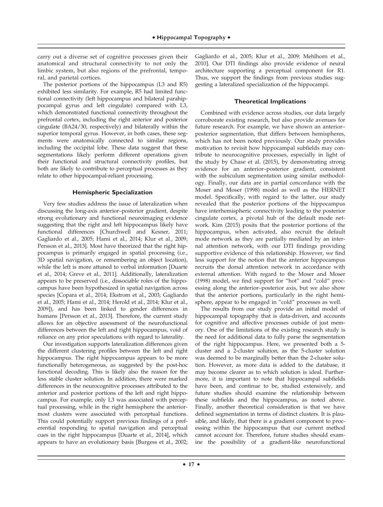carry out a diverse set of cognitive processes given their anatomical and structural connectivity to not only the limbic system, but also regions of the prefrontal, temporal, and parietal cortices.

The posterior portions of the hippocampus (L3 and R5) exhibited less similarity. For example, R5 had limited functional connectivity (left hippocampus and bilateral parahippocampal gyrus and left cingulate) compared with L3, which demonstrated functional connectivity throughout the prefrontal cortex, including the right anterior and posterior cingulate (BA24/30, respectively) and bilaterally within the superior temporal gyrus. However, in both cases, these segments were anatomically connected to similar regions, including the occipital lobe. These data suggest that these segmentations likely perform different operations given their functional and structural connectivity profiles, but both are likely to contribute to perceptual processes as they relate to other hippocampal-reliant processing.

### **Hemispheric Specialization**

Very few studies address the issue of lateralization when discussing the long-axis anterior–posterior gradient, despite strong evolutionary and functional neuroimaging evidence suggesting that the right and left hippocampus likely have functional differences [Churchwell and Kesner, 2011; Gagliardo et al., 2005; Hami et al., 2014; Klur et al., 2009; Persson et al., 2013]. Most have theorized that the right hippocampus is primarily engaged in spatial processing (i.e., 3D spatial navigation, or remembering an object location), while the left is more attuned to verbal information [Duarte et al., 2014; Greve et al., 2011]. Additionally, lateralization appears to be preserved (i.e., dissociable roles of the hippocampus have been hypothesized in spatial navigation across species [Copara et al., 2014; Ekstrom et al., 2003; Gagliardo et al., 2005; Hami et al., 2014; Herold et al., 2014; Klur et al., 2009]), and has been linked to gender differences in humans [Persson et al., 2013]. Therefore, the current study allows for an objective assessment of the neurofunctional differences between the left and right hippocampus, void of reliance on any prior speculations with regard to laterality.

Our investigation supports lateralization differences given the different clustering profiles between the left and right hippocampus. The right hippocampus appears to be more functionally heterogeneous, as suggested by the post-hoc functional decoding. This is likely also the reason for the less stable cluster solution. In addition, there were marked differences in the neurocognitive processes attributed to the anterior and posterior portions of the left and right hippocampus. For example, only L3 was associated with perceptual processing, while in the right hemisphere the anteriormost clusters were associated with perceptual functions. This could potentially support previous findings of a preferential responding to spatial navigation and perceptual cues in the right hippocampus [Duarte et al., 2014], which appears to have an evolutionary basis [Burgess et al., 2002; Gagliardo et al., 2005; Klur et al., 2009; Mehlhorn et al., 2010]. Our DTI findings also provide evidence of neural architecture supporting a perceptual component for R1. Thus, we support the findings from previous studies suggesting a lateralized specialization of the hippocampi.

# **Theoretical Implications**

Combined with evidence across studies, our data largely corroborate existing research, but also provide avenues for future research. For example, we have shown an anterior– posterior segmentation, that differs between hemispheres, which has not been noted previously. Our study provides motivation to revisit how hippocampal subfields may contribute to neurocognitive processes, especially in light of the study by Chase et al. (2015), by demonstrating strong evidence for an anterior–posterior gradient, consistent with the subiculum segmentation using similar methodology. Finally, our data are in partial concordance with the Moser and Moser (1998) model as well as the HERNET model. Specifically, with regard to the latter, our study revealed that the posterior portions of the hippocampus have interhemispheric connectivity leading to the posterior cingulate cortex, a pivotal hub of the default mode network. Kim (2015) posits that the posterior portions of the hippocampus, when activated, also recruit the default mode network as they are partially mediated by an internal attention network, with our DTI findings providing supportive evidence of this relationship. However, we find less support for the notion that the anterior hippocampus recruits the dorsal attention network in accordance with external attention. With regard to the Moser and Moser (1998) model, we find support for "hot" and "cold" processing along the anterior–posterior axis, but we also show that the anterior portions, particularly in the right hemisphere, appear to be engaged in "cold" processes as well.

The results from our study provide an initial model of hippocampal topography that is data-driven, and accounts for cognitive and affective processes outside of just memory. One of the limitations of the existing research study is the need for additional data to fully parse the segmentation of the right hippocampus. Here, we presented both a 5 cluster and a 2-cluster solution, as the 5-cluster solution was deemed to be marginally better than the 2-cluster solution. However, as more data is added to the database, it may become clearer as to which solution is ideal. Furthermore, it is important to note that hippocampal subfields have been, and continue to be, studied extensively, and future studies should examine the relationship between these subfields and the hippocampus, as noted above. Finally, another theoretical consideration is that we have defined segmentation in terms of distinct clusters. It is plausible, and likely, that there is a gradient component to processing within the hippocampus that our current method cannot account for. Therefore, future studies should examine the possibility of a gradient-like neurofunctional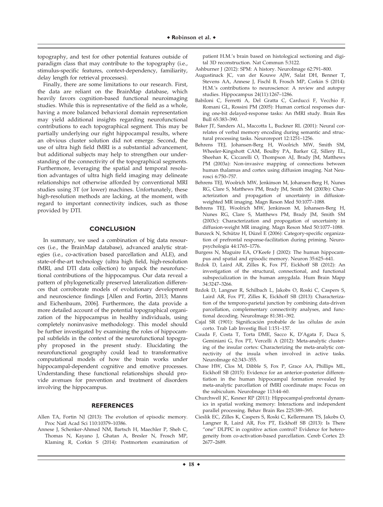topography, and test for other potential features outside of paradigm class that may contribute to the topography (i.e., stimulus-specific features, context-dependency, familiarity, delay length for retrieval processes).

Finally, there are some limitations to our research. First, the data are reliant on the BrainMap database, which heavily favors cognition-based functional neuroimaging studies. While this is representative of the field as a whole, having a more balanced behavioral domain representation may yield additional insights regarding neurofunctional contributions to each topographical segment. This may be partially underlying our right hippocampal results, where an obvious cluster solution did not emerge. Second, the use of ultra high field fMRI is a substantial advancement, but additional subjects may help to strengthen our understanding of the connectivity of the topographical segments. Furthermore, leveraging the spatial and temporal resolution advantages of ultra high field imaging may delineate relationships not otherwise afforded by conventional MRI studies using 3T (or lower) machines. Unfortunately, these high-resolution methods are lacking, at the moment, with regard to important connectivity indices, such as those provided by DTI.

# **CONCLUSION**

In summary, we used a combination of big data resources (i.e., the BrainMap database), advanced analytic strategies (i.e., co-activation based parcellation and ALE), and state-of-the-art technology (ultra high field, high-resolution fMRI, and DTI data collection) to unpack the neurofunctional contributions of the hippocampus. Our data reveal a pattern of phylogenetically preserved lateralization differences that corroborate models of evolutionary development and neuroscience findings [Allen and Fortin, 2013; Manns and Eichenbaum, 2006]. Furthermore, the data provide a more detailed account of the potential topographical organization of the hippocampus in healthy individuals, using completely noninvasive methodology. This model should be further investigated by examining the roles of hippocampal subfields in the context of the neurofunctional topography proposed in the present study. Elucidating the neurofunctional geography could lead to transformative computational models of how the brain works under hippocampal-dependent cognitive and emotive processes. Understanding these functional relationships should provide avenues for prevention and treatment of disorders involving the hippocampus.

#### **REFERENCES**

- Allen TA, Fortin NJ (2013): The evolution of episodic memory. Proc Natl Acad Sci 110:10379–10386.
- Annese J, Schenker-Ahmed NM, Bartsch H, Maechler P, Sheh C, Thomas N, Kayano J, Ghatan A, Bresler N, Frosch MP, Klaming R, Corkin S (2014): Postmortem examination of

patient H.M.'s brain based on histological sectioning and digital 3D reconstruction. Nat Commun 5:3122.

- Ashburner J (2012): SPM: A history. NeuroImage 62:791–800.
- Augustinack JC, van der Kouwe AJW, Salat DH, Benner T, Stevens AA, Annese J, Fischl B, Frosch MP, Corkin S (2014): H.M.'s contributions to neuroscience: A review and autopsy studies. Hippocampus 24(11):1267–1286.
- Babiloni C, Ferretti A, Del Gratta C, Carducci F, Vecchio F, Romani GL, Rossini PM (2005): Human cortical responses during one-bit delayed-response tasks: An fMRI study. Brain Res Bull 65:383–390.
- Baker JT, Sanders AL, Maccotta L, Buckner RL (2001): Neural correlates of verbal memory encoding during semantic and structural processing tasks. Neuroreport 12:1251–1256.
- Behrens TEJ, Johansen-Berg H, Woolrich MW, Smith SM, Wheeler-Kingshott CAM, Boulby PA, Barker GJ, Sillery EL, Sheehan K, Ciccarelli O, Thompson AJ, Brady JM, Matthews PM (2003a): Non-invasive mapping of connections between human thalamus and cortex using diffusion imaging. Nat Neurosci 6:750–757.
- Behrens TEJ, Woolrich MW, Jenkinson M, Johansen-Berg H, Nunes RG, Clare S, Matthews PM, Brady JM, Smith SM (2003b): Characterization and propagation of uncertainty in diffusionweighted MR imaging. Magn Reson Med 50:1077–1088.
- Behrens TEJ, Woolrich MW, Jenkinson M, Johansen-Berg H, Nunes RG, Clare S, Matthews PM, Brady JM, Smith SM (2003c): Characterization and propogation of uncertainty in diffusion-weight MR imaging. Magn Reson Med 50:1077–1088.
- Bunzeck N, Schütze H, Düzel E (2006): Category-specific organization of prefrontal response-facilitation during priming. Neuropsychologia 44:1765–1776.
- Burgess N, Maguire EA, O'Keefe J (2002): The human hippocampus and spatial and episodic memory. Neuron 35:625–641.
- Bzdok D, Laird AR, Zilles K, Fox PT, Eickhoff SB (2012): An investigation of the structural, connectional, and functional subspecialization in the human amygdala. Hum Brain Mapp 34:3247–3266.
- Bzdok D, Langner R, Schilbach L, Jakobs O, Roski C, Caspers S, Laird AR, Fox PT, Zilles K, Eickhoff SB (2013): Characterization of the temporo-parietal junction by combining data-driven parcellation, complementary connectivity analyses, and functional decoding. NeuroImage 81:381–392.
- Cajal SR (1901): Significación probable de las células de axón corto. Trab Lab Investig Biol 1:151–157.
- Cauda F, Costa T, Torta DME, Sacco K, D'Agata F, Duca S, Geminiani G, Fox PT, Vercelli A (2012): Meta-analytic clustering of the insular cortex: Characterizing the meta-analytic connectivity of the insula when involved in active tasks. NeuroImage 62:343–355.
- Chase HW, Clos M, Dibble S, Fox P, Grace AA, Phillips ML, Eickhoff SB (2015): Evidence for an anterior–posterior differentiation in the human hippocampal formation revealed by meta-analytic parcellation of fMRI coordinate maps: Focus on the subiculum. NeuroImage 113:44–60.
- Churchwell JC, Kesner RP (2011): Hippocampal-prefrontal dynamics in spatial working memory: Interactions and independent parallel processing. Behav Brain Res 225:389–395.
- Cieslik EC, Zilles K, Caspers S, Roski C, Kellermann TS, Jakobs O, Langner R, Laird AR, Fox PT, Eickhoff SB (2013): Is There "one" DLPFC in cognitive action control? Evidence for heterogeneity from co-activation-based parcellation. Cereb Cortex 23: 2677–2689.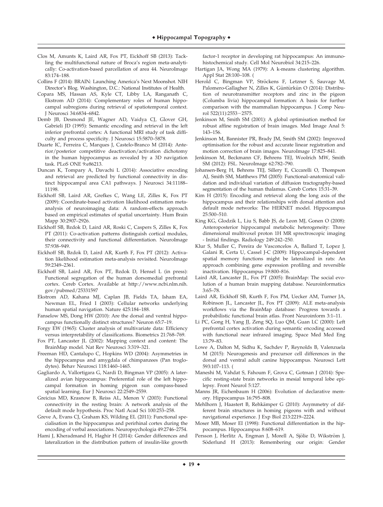- Clos M, Amunts K, Laird AR, Fox PT, Eickhoff SB (2013): Tackling the multifunctional nature of Broca's region meta-analytically: Co-activation-based parcellation of area 44. NeuroImage 83:174–188.
- Collins F (2014): BRAIN: Launching America's Next Moonshot. NIH Director's Blog. Washington, D.C.: National Institutes of Health.
- Copara MS, Hassan AS, Kyle CT, Libby LA, Ranganath C, Ekstrom AD (2014): Complementary roles of human hippocampal subregions during retrieval of spatiotemporal context. J Neurosci 34:6834–6842.
- Demb JB, Desmond JE, Wagner AD, Vaidya CJ, Glover GH, Gabrieli JD (1995): Semantic encoding and retrieval in the left inferior prefrontal cortex: A functional MRI study of task difficulty and process specificity. J Neurosci 15:5870–5878.
- Duarte IC, Ferreira C, Marques J, Castelo-Branco M (2014): Anterior/posterior competitive deactivation/activation dichotomy in the human hippocampus as revealed by a 3D navigation task. PLoS ONE 9:e86213.
- Duncan K, Tompary A, Davachi L (2014): Associative encoding and retrieval are predicted by functional connectivity in distinct hippocampal area CA1 pathways. J Neurosci 34:11188– 11198.
- Eickhoff SB, Laird AR, Grefkes C, Wang LE, Zilles K, Fox PT (2009): Coordinate-based activation likelihood estimation metaanalysis of neuroimaging data: A random-effects approach based on empirical estimates of spatial uncertainty. Hum Brain Mapp 30:2907–2926.
- Eickhoff SB, Bzdok D, Laird AR, Roski C, Caspers S, Zilles K, Fox PT (2011): Co-activation patterns distinguish cortical modules, their connectivity and functional differentiation. NeuroImage 57:938–949.
- Eickhoff SB, Bzdok D, Laird AR, Kurth F, Fox PT (2012): Activation likelihood estimation meta-analysis revisited. NeuroImage 59:2349–2361.
- Eickhoff SB, Laird AR, Fox PT, Bzdok D, Hensel L (in press): Functional segregation of the human dorsomedial prefrontal cortex. Cereb Cortex. Available at [http://www.ncbi.nlm.nih.](http://www.ncbi.nlm.nih.gov/pubmed/25331597) [gov/pubmed/25331597](http://www.ncbi.nlm.nih.gov/pubmed/25331597)
- Ekstrom AD, Kahana MJ, Caplan JB, Fields TA, Isham EA, Newman EL, Fried I (2003): Cellular networks underlying human spatial navigation. Nature 425:184–188.
- Fanselow MS, Dong HW (2010): Are the dorsal and ventral hippocampus functionally distinct structures? Neuron 65:7–19.
- Forgy EW (1965): Cluster analysis of multivariate data: Efficiency versus interpretability of classifications. Biometrics 21:768–769.
- Fox PT, Lancaster JL (2002): Mapping context and content: The BrainMap model. Nat Rev Neurosci 3:319–321.
- Freeman HD, Cantalupo C, Hopkins WD (2004): Asymmetries in the hippocampus and amygdala of chimpanzees (Pan troglodytes). Behav Neurosci 118:1460–1465.
- Gagliardo A, Vallortigara G, Nardi D, Bingman VP (2005): A lateralized avian hippocampus: Preferential role of the left hippocampal formation in homing pigeon sun compass-based spatial learning. Eur J Neurosci 22:2549–2559.
- Greicius MD, Krasnow B, Reiss AL, Menon V (2003): Functional connectivity in the resting brain: A network analysis of the default mode hypothesis. Proc Natl Acad Sci 100:253–258.
- Greve A, Evans CJ, Graham KS, Wilding EL (2011): Functional specialisation in the hippocampus and perirhinal cortex during the encoding of verbal associations. Neuropsychologia 49:2746–2754.
- Hami J, Kheradmand H, Haghir H (2014): Gender differences and lateralization in the distribution pattern of insulin-like growth

factor-1 receptor in developing rat hippocampus: An immunohistochemical study. Cell Mol Neurobiol 34:215–226.

- Hartigan JA, Wong MA (1979): A k-means clustering algorithm. Appl Stat 28:100–108. (
- Herold C, Bingman VP, Ströckens F, Letzner S, Sauvage M, Palomero-Gallagher N, Zilles K, Güntürkün O (2014): Distribution of neurotransmitter receptors and zinc in the pigeon (Columba livia) hippocampal formation: A basis for further comparison with the mammalian hippocampus. J Comp Neurol 522(11):2553-2575.
- Jenkinson M, Smith SM (2001): A global optimisation method for robust affine registration of brain images. Med Image Anal 5: 143–156.
- Jenkinson M, Bannister PR, Brady JM, Smith SM (2002): Improved optimisation for the robust and accurate linear registration and motion correction of brain images. NeuroImage 17:825–841.
- Jenkinson M, Beckmann CF, Behrens TEJ, Woolrich MW, Smith SM (2012): FSL. NeuroImage 62:782–790.
- Johansen-Berg H, Behrens TEJ, Sillery E, Ciccarelli O, Thompson AJ, Smith SM, Matthews PM (2005): Functional–anatomical validation and individual variation of diffusion tractography-based segmentation of the human thalamus. Cereb Cortex 15:31–39.
- Kim H (2015): Encoding and retrieval along the long axis of the hippocampus and their relationships with dorsal attention and default mode networks: The HERNET model. Hippocampus 25:500–510.
- King KG, Glodzik L, Liu S, Babb JS, de Leon MJ, Gonen O (2008): Anteroposterior hippocampal metabolic heterogeneity: Three dimensional multivoxel proton 1H MR sprectroscopic imaging - Initial findings. Radiology 249:242–250.
- Klur S, Muller C, Pereira de Vasconcelos A, Ballard T, Lopez J, Galani R, Certa U, Cassel J-C (2009): Hippocampal-dependent spatial memory functions might be lateralized in rats: An approach combining gene expression profiling and reversible inactivation. Hippocampus 19:800–816.
- Laird AR, Lancaster JL, Fox PT (2005): BrainMap: The social evolution of a human brain mapping database. Neuroinformatics 3:65–78.
- Laird AR, Eickhoff SB, Kurth F, Fox PM, Uecker AM, Turner JA, Robinson JL, Lancaster JL, Fox PT (2009): ALE meta-analysis workflows via the BrainMap database: Progress towards a probabilistic functional brain atlas. Front Neuroinform 3:1–11.
- Li PC, Gong H, Yang JJ, Zeng SQ, Luo QM, Guan LC (2000): Left prefrontal cortex activation during semantic encoding accessed with functional near infrared imaging. Space Med Med Eng 13:79–83.
- Lowe A, Dalton M, Sidhu K, Sachdev P, Reynolds B, Valenzuela M (2015): Neurogenesis and precursor cell differences in the dorsal and ventral adult canine hippocampus. Neurosci Lett 593:107–113. (
- Maneshi M, Vahdat S, Fahoum F, Grova C, Gotman J (2014): Specific resting-state brain networks in mesial temporal lobe epilepsy. Front Neurol 5:127.
- Manns JR, Eichenbaum H (2006): Evolution of declarative memory. Hippocampus 16:795–808.
- Mehlhorn J, Haastert B, Rehkämper G (2010): Asymmetry of different brain structures in homing pigeons with and without navigational experience. J Exp Biol 213:2219–2224.
- Moser MB, Moser EI (1998): Functional differentiation in the hippocampus. Hippocampus 8:608–619.
- Persson J, Herlitz A, Engman J, Morell A, Sjölie D, Wikström J, Söderlund H (2013): Remembering our origin: Gender